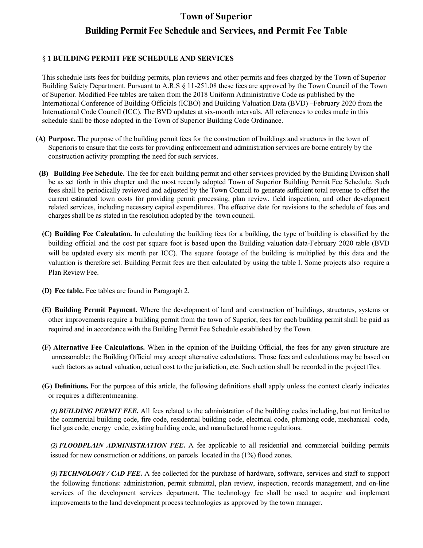# **Town of Superior Building Permit Fee Schedule and Services, and Permit Fee Table**

#### § **1 BUILDING PERMIT FEE SCHEDULE AND SERVICES**

This schedule lists fees for building permits, plan reviews and other permits and fees charged by the Town of Superior Building Safety Department. Pursuant to A.R.S § 11-251.08 these fees are approved by the Town Council of the Town of Superior. Modified Fee tables are taken from the 2018 Uniform Administrative Code as published by the International Conference of Building Officials (ICBO) and Building Valuation Data (BVD) –February 2020 from the International Code Council (ICC). The BVD updates at six-month intervals. All references to codes made in this schedule shall be those adopted in the Town of Superior Building Code Ordinance.

- **(A) Purpose.** The purpose of the building permit fees for the construction of buildings and structures in the town of Superioris to ensure that the costs for providing enforcement and administration services are borne entirely by the construction activity prompting the need for such services.
- **(B) Building Fee Schedule.** The fee for each building permit and other services provided by the Building Division shall be as set forth in this chapter and the most recently adopted Town of Superior Building Permit Fee Schedule. Such fees shall be periodically reviewed and adjusted by the Town Council to generate sufficient total revenue to offset the current estimated town costs for providing permit processing, plan review, field inspection, and other development related services, including necessary capital expenditures. The effective date for revisions to the schedule of fees and charges shall be as stated in the resolution adopted by the town council.
- **(C) Building Fee Calculation.** In calculating the building fees for a building, the type of building is classified by the building official and the cost per square foot is based upon the Building valuation data-February 2020 table (BVD will be updated every six month per ICC). The square footage of the building is multiplied by this data and the valuation is therefore set. Building Permit fees are then calculated by using the table I. Some projects also require a Plan Review Fee.
- **(D) Fee table.** Fee tables are found in Paragraph 2.
- **(E) Building Permit Payment.** Where the development of land and construction of buildings, structures, systems or other improvements require a building permit from the town of Superior, fees for each building permit shall be paid as required and in accordance with the Building Permit Fee Schedule established by the Town.
- **(F) Alternative Fee Calculations.** When in the opinion of the Building Official, the fees for any given structure are unreasonable; the Building Official may accept alternative calculations. Those fees and calculations may be based on such factors as actual valuation, actual cost to the jurisdiction, etc. Such action shall be recorded in the project files.
- **(G) Definitions.** For the purpose of this article, the following definitions shall apply unless the context clearly indicates or requires a different meaning.

*(1)BUILDING PERMIT FEE***.** All fees related to the administration of the building codes including, but not limited to the commercial building code, fire code, residential building code, electrical code, plumbing code, mechanical code, fuel gas code, energy code, existing building code, and manufactured home regulations.

*(2) FLOODPLAIN ADMINISTRATION FEE***.** A fee applicable to all residential and commercial building permits issued for new construction or additions, on parcels located in the (1%) flood zones.

*(3) TECHNOLOGY / CAD FEE***.** A fee collected for the purchase of hardware, software, services and staff to support the following functions: administration, permit submittal, plan review, inspection, records management, and on-line services of the development services department. The technology fee shall be used to acquire and implement improvements to the land development process technologies as approved by the town manager.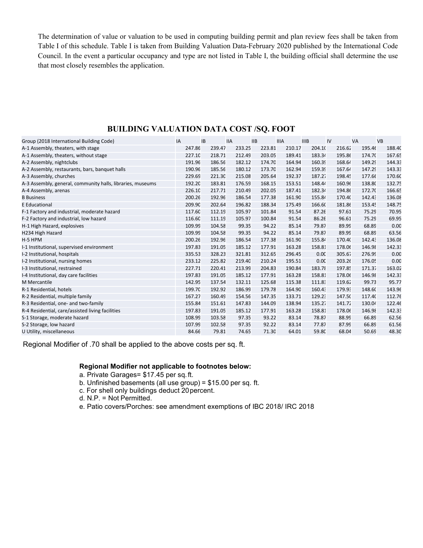The determination of value or valuation to be used in computing building permit and plan review fees shall be taken from Table I of this schedule. Table I is taken from Building Valuation Data-February 2020 published by the International Code Council. In the event a particular occupancy and type are not listed in Table I, the building official shall determine the use that most closely resembles the application.

| Group (2018 International Building Code)                   | IA     | <b>IB</b> | <b>IIA</b> | <b>IIB</b> | <b>IIIA</b> | <b>IIIB</b> | IV     | <b>VA</b> | <b>VB</b> |
|------------------------------------------------------------|--------|-----------|------------|------------|-------------|-------------|--------|-----------|-----------|
| A-1 Assembly, theaters, with stage                         | 247.86 | 239.47    | 233.25     | 223.81     | 210.17      | 204.10      | 216.62 | 195.46    | 188.40    |
| A-1 Assembly, theaters, without stage                      | 227.10 | 218.71    | 212.49     | 203.05     | 189.41      | 183.34      | 195.86 | 174.70    | 167.65    |
| A-2 Assembly, nightclubs                                   | 191.96 | 186.56    | 182.12     | 174.70     | 164.94      | 160.39      | 168.64 | 149.29    | 144.33    |
| A-2 Assembly, restaurants, bars, banquet halls             | 190.96 | 185.56    | 180.12     | 173.70     | 162.94      | 159.39      | 167.64 | 147.29    | 143.33    |
| A-3 Assembly, churches                                     | 229.69 | 221.30    | 215.08     | 205.64     | 192.37      | 187.27      | 198.45 | 177.66    | 170.60    |
| A-3 Assembly, general, community halls, libraries, museums | 192.20 | 183.81    | 176.59     | 168.15     | 153.51      | 148.44      | 160.96 | 138.80    | 132.75    |
| A-4 Assembly, arenas                                       | 226.10 | 217.71    | 210.49     | 202.05     | 187.41      | 182.34      | 194.86 | 172.70    | 166.65    |
| <b>B</b> Business                                          | 200.26 | 192.96    | 186.54     | 177.38     | 161.90      | 155.84      | 170.40 | 142.43    | 136.08    |
| E Educational                                              | 209.90 | 202.64    | 196.82     | 188.34     | 175.49      | 166.60      | 181.86 | 153.45    | 148.75    |
| F-1 Factory and industrial, moderate hazard                | 117.60 | 112.19    | 105.97     | 101.84     | 91.54       | 87.26       | 97.61  | 75.29     | 70.95     |
| F-2 Factory and industrial, low hazard                     | 116.60 | 111.19    | 105.97     | 100.84     | 91.54       | 86.26       | 96.61  | 75.29     | 69.95     |
| H-1 High Hazard, explosives                                | 109.99 | 104.58    | 99.35      | 94.22      | 85.14       | 79.87       | 89.99  | 68.89     | 0.00      |
| H234 High Hazard                                           | 109.99 | 104.58    | 99.35      | 94.22      | 85.14       | 79.87       | 89.99  | 68.89     | 63.56     |
| H-5 HPM                                                    | 200.26 | 192.96    | 186.54     | 177.38     | 161.90      | 155.84      | 170.40 | 142.43    | 136.08    |
| I-1 Institutional, supervised environment                  | 197.83 | 191.05    | 185.12     | 177.91     | 163.28      | 158.81      | 178.06 | 146.98    | 142.33    |
| I-2 Institutional, hospitals                               | 335.53 | 328.23    | 321.81     | 312.65     | 296.45      | 0.00        | 305.67 | 276.99    | 0.00      |
| I-2 Institutional, nursing homes                           | 233.12 | 225.82    | 219.40     | 210.24     | 195.51      | 0.00        | 203.26 | 176.05    | 0.00      |
| I-3 Institutional, restrained                              | 227.71 | 220.41    | 213.99     | 204.83     | 190.84      | 183.78      | 197.85 | 171.37    | 163.02    |
| I-4 Institutional, day care facilities                     | 197.83 | 191.05    | 185.12     | 177.91     | 163.28      | 158.81      | 178.06 | 146.98    | 142.33    |
| <b>M</b> Mercantile                                        | 142.95 | 137.54    | 132.11     | 125.68     | 115.38      | 111.83      | 119.62 | 99.73     | 95.77     |
| R-1 Residential, hotels                                    | 199.70 | 192.92    | 186.99     | 179.78     | 164.90      | 160.43      | 179.93 | 148.60    | 143.96    |
| R-2 Residential, multiple family                           | 167.27 | 160.49    | 154.56     | 147.35     | 133.71      | 129.23      | 147.50 | 117.40    | 112.76    |
| R-3 Residential, one- and two-family                       | 155.84 | 151.61    | 147.83     | 144.09     | 138.94      | 135.27      | 141.72 | 130.04    | 122.46    |
| R-4 Residential, care/assisted living facilities           | 197.83 | 191.05    | 185.12     | 177.91     | 163.28      | 158.81      | 178.06 | 146.98    | 142.33    |
| S-1 Storage, moderate hazard                               | 108.99 | 103.58    | 97.35      | 93.22      | 83.14       | 78.87       | 88.99  | 66.89     | 62.56     |
| S-2 Storage, low hazard                                    | 107.99 | 102.58    | 97.35      | 92.22      | 83.14       | 77.87       | 87.99  | 66.89     | 61.56     |
| U Utility, miscellaneous                                   | 84.66  | 79.81     | 74.65      | 71.30      | 64.01       | 59.80       | 68.04  | 50.69     | 48.30     |

### **BUILDING VALUATION DATA COST /SQ. FOOT**

Regional Modifier of .70 shall be applied to the above costs per sq. ft.

#### **Regional Modifier not applicable to footnotes below:**

- a. Private Garages= \$17.45 per sq. ft.
- b. Unfinished basements (all use group) = \$15.00 per sq. ft.
- c. For shell only buildings deduct 20 percent.
- d. N.P. = Not Permitted.
- e. Patio covers/Porches: see amendment exemptions of IBC 2018/ IRC 2018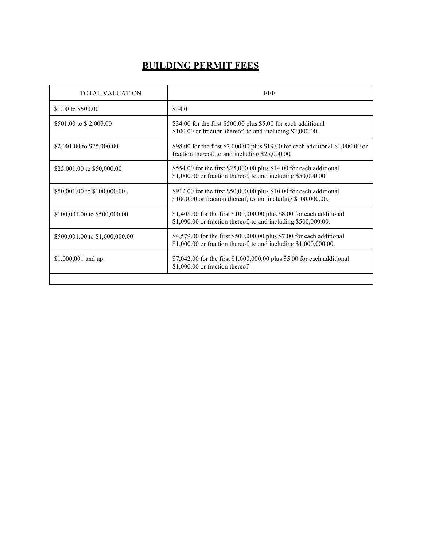## **BUILDING PERMIT FEES**

| TOTAL VALUATION                | FEE                                                                                                                                        |
|--------------------------------|--------------------------------------------------------------------------------------------------------------------------------------------|
| \$1.00 to \$500.00             | \$34.0                                                                                                                                     |
| \$501.00 to \$2,000.00         | \$34.00 for the first \$500.00 plus \$5.00 for each additional<br>\$100.00 or fraction thereof, to and including \$2,000.00.               |
| \$2,001.00 to \$25,000.00      | \$98.00 for the first \$2,000.00 plus \$19.00 for each additional \$1,000.00 or<br>fraction thereof, to and including \$25,000.00          |
| \$25,001.00 to \$50,000.00     | \$554.00 for the first \$25,000.00 plus \$14.00 for each additional<br>\$1,000.00 or fraction thereof, to and including \$50,000.00.       |
| \$50,001.00 to \$100,000.00.   | \$912.00 for the first \$50,000.00 plus \$10.00 for each additional<br>\$1000.00 or fraction thereof, to and including \$100,000.00.       |
| \$100,001.00 to \$500,000.00   | \$1,408.00 for the first \$100,000.00 plus \$8.00 for each additional<br>$$1,000.00$ or fraction thereof, to and including $$500,000.00$ . |
| \$500,001.00 to \$1,000,000.00 | \$4,579.00 for the first \$500,000.00 plus \$7.00 for each additional<br>\$1,000.00 or fraction thereof, to and including \$1,000,000.00.  |
| \$1,000,001 and up             | \$7,042.00 for the first \$1,000,000.00 plus \$5.00 for each additional<br>\$1,000.00 or fraction thereof                                  |
|                                |                                                                                                                                            |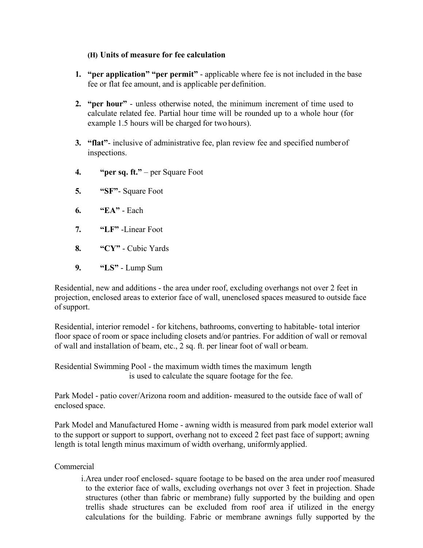### **(H) Units of measure for fee calculation**

- **1. "per application" "per permit"**  applicable where fee is not included in the base fee or flat fee amount, and is applicable per definition.
- **2. "per hour"**  unless otherwise noted, the minimum increment of time used to calculate related fee. Partial hour time will be rounded up to a whole hour (for example 1.5 hours will be charged for two hours).
- **3. "flat"** inclusive of administrative fee, plan review fee and specified number of inspections.
- **4. "per sq. ft."**  per Square Foot
- **5. "SF"** Square Foot
- **6. "EA"** Each
- **7. "LF"** -Linear Foot
- **8. "CY"** Cubic Yards
- **9. "LS"** Lump Sum

Residential, new and additions - the area under roof, excluding overhangs not over 2 feet in projection, enclosed areas to exterior face of wall, unenclosed spaces measured to outside face of support.

Residential, interior remodel - for kitchens, bathrooms, converting to habitable- total interior floor space of room or space including closets and/or pantries. For addition of wall or removal of wall and installation of beam, etc., 2 sq. ft. per linear foot of wall or beam.

Residential Swimming Pool - the maximum width times the maximum length is used to calculate the square footage for the fee.

Park Model - patio cover/Arizona room and addition- measured to the outside face of wall of enclosed space.

Park Model and Manufactured Home - awning width is measured from park model exterior wall to the support or support to support, overhang not to exceed 2 feet past face of support; awning length is total length minus maximum of width overhang, uniformly applied.

## Commercial

i.Area under roof enclosed- square footage to be based on the area under roof measured to the exterior face of walls, excluding overhangs not over 3 feet in projection. Shade structures (other than fabric or membrane) fully supported by the building and open trellis shade structures can be excluded from roof area if utilized in the energy calculations for the building. Fabric or membrane awnings fully supported by the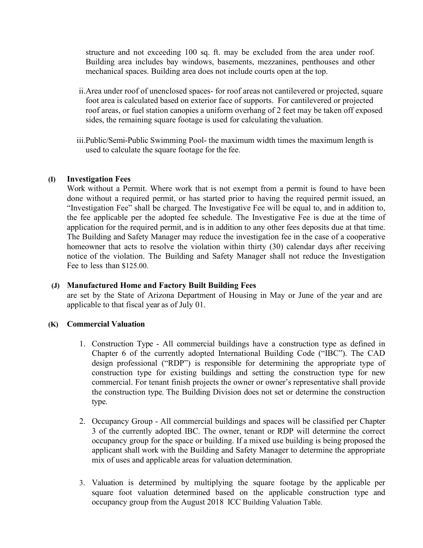structure and not exceeding 100 sq. ft. may be excluded from the area under roof. Building area includes bay windows, basements, mezzanines, penthouses and other mechanical spaces. Building area does not include courts open at the top.

- ii.Area under roof of unenclosed spaces- for roof areas not cantilevered or projected, square foot area is calculated based on exterior face of supports. For cantilevered or projected roof areas, or fuel station canopies a uniform overhang of 2 feet may be taken off exposed sides, the remaining square footage is used for calculating the valuation.
- iii.Public/Semi-Public Swimming Pool- the maximum width times the maximum length is used to calculate the square footage for the fee.

#### **(I) Investigation Fees**

Work without a Permit. Where work that is not exempt from a permit is found to have been done without a required permit, or has started prior to having the required permit issued, an "Investigation Fee" shall be charged. The Investigative Fee will be equal to, and in addition to, the fee applicable per the adopted fee schedule. The Investigative Fee is due at the time of application for the required permit, and is in addition to any other fees deposits due at that time. The Building and Safety Manager may reduce the investigation fee in the case of a cooperative homeowner that acts to resolve the violation within thirty (30) calendar days after receiving notice of the violation. The Building and Safety Manager shall not reduce the Investigation Fee to less than \$125.00.

#### **(J) Manufactured Home and Factory Built Building Fees**

are set by the State of Arizona Department of Housing in May or June of the year and are applicable to that fiscal year as of July 01.

#### **(K) Commercial Valuation**

- 1. Construction Type All commercial buildings have a construction type as defined in Chapter 6 of the currently adopted International Building Code ("IBC"). The CAD design professional ("RDP") is responsible for determining the appropriate type of construction type for existing buildings and setting the construction type for new commercial. For tenant finish projects the owner or owner's representative shall provide the construction type. The Building Division does not set or determine the construction type.
- 2. Occupancy Group All commercial buildings and spaces will be classified per Chapter 3 of the currently adopted IBC. The owner, tenant or RDP will determine the correct occupancy group for the space or building. If a mixed use building is being proposed the applicant shall work with the Building and Safety Manager to determine the appropriate mix of uses and applicable areas for valuation determination.
- 3. Valuation is determined by multiplying the square footage by the applicable per square foot valuation determined based on the applicable construction type and occupancy group from the August 2018 ICC Building Valuation Table.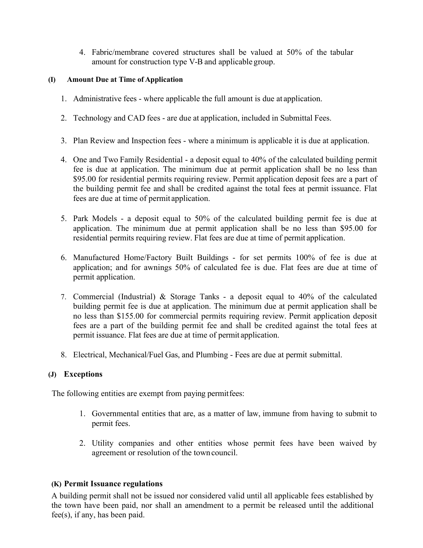4. Fabric/membrane covered structures shall be valued at 50% of the tabular amount for construction type V-B and applicable group.

#### **(I) Amount Due at Time of Application**

- 1. Administrative fees where applicable the full amount is due at application.
- 2. Technology and CAD fees are due at application, included in Submittal Fees.
- 3. Plan Review and Inspection fees where a minimum is applicable it is due at application.
- 4. One and Two Family Residential a deposit equal to 40% of the calculated building permit fee is due at application. The minimum due at permit application shall be no less than \$95.00 for residential permits requiring review. Permit application deposit fees are a part of the building permit fee and shall be credited against the total fees at permit issuance. Flat fees are due at time of permit application.
- 5. Park Models a deposit equal to 50% of the calculated building permit fee is due at application. The minimum due at permit application shall be no less than \$95.00 for residential permits requiring review. Flat fees are due at time of permit application.
- 6. Manufactured Home/Factory Built Buildings for set permits 100% of fee is due at application; and for awnings 50% of calculated fee is due. Flat fees are due at time of permit application.
- 7. Commercial (Industrial) & Storage Tanks a deposit equal to 40% of the calculated building permit fee is due at application. The minimum due at permit application shall be no less than \$155.00 for commercial permits requiring review. Permit application deposit fees are a part of the building permit fee and shall be credited against the total fees at permit issuance. Flat fees are due at time of permit application.
- 8. Electrical, Mechanical/Fuel Gas, and Plumbing Fees are due at permit submittal.

## **(J) Exceptions**

The following entities are exempt from paying permit fees:

- 1. Governmental entities that are, as a matter of law, immune from having to submit to permit fees.
- 2. Utility companies and other entities whose permit fees have been waived by agreement or resolution of the town council.

## **(K) Permit Issuance regulations**

A building permit shall not be issued nor considered valid until all applicable fees established by the town have been paid, nor shall an amendment to a permit be released until the additional fee(s), if any, has been paid.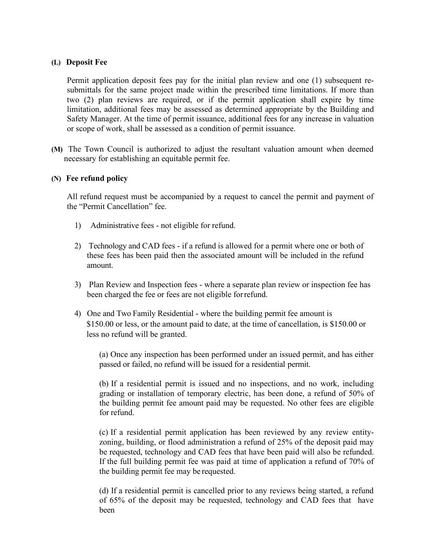#### **(L) Deposit Fee**

Permit application deposit fees pay for the initial plan review and one (1) subsequent resubmittals for the same project made within the prescribed time limitations. If more than two (2) plan reviews are required, or if the permit application shall expire by time limitation, additional fees may be assessed as determined appropriate by the Building and Safety Manager. At the time of permit issuance, additional fees for any increase in valuation or scope of work, shall be assessed as a condition of permit issuance.

**(M)** The Town Council is authorized to adjust the resultant valuation amount when deemed necessary for establishing an equitable permit fee.

#### **(N) Fee refund policy**

All refund request must be accompanied by a request to cancel the permit and payment of the "Permit Cancellation" fee.

- 1) Administrative fees not eligible for refund.
- 2) Technology and CAD fees if a refund is allowed for a permit where one or both of these fees has been paid then the associated amount will be included in the refund amount.
- 3) Plan Review and Inspection fees where a separate plan review or inspection fee has been charged the fee or fees are not eligible for refund.
- 4) One and Two Family Residential where the building permit fee amount is \$150.00 or less, or the amount paid to date, at the time of cancellation, is \$150.00 or less no refund will be granted.

(a) Once any inspection has been performed under an issued permit, and has either passed or failed, no refund will be issued for a residential permit.

(b) If a residential permit is issued and no inspections, and no work, including grading or installation of temporary electric, has been done, a refund of 50% of the building permit fee amount paid may be requested. No other fees are eligible for refund.

(c) If a residential permit application has been reviewed by any review entityzoning, building, or flood administration a refund of 25% of the deposit paid may be requested, technology and CAD fees that have been paid will also be refunded. If the full building permit fee was paid at time of application a refund of 70% of the building permit fee may be requested.

(d) If a residential permit is cancelled prior to any reviews being started, a refund of 65% of the deposit may be requested, technology and CAD fees that have been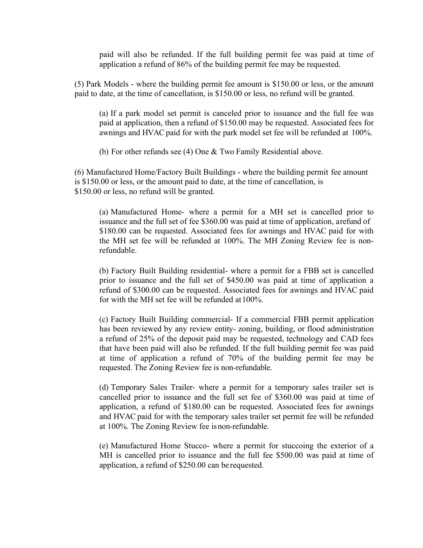paid will also be refunded. If the full building permit fee was paid at time of application a refund of 86% of the building permit fee may be requested.

(5) Park Models - where the building permit fee amount is \$150.00 or less, or the amount paid to date, at the time of cancellation, is \$150.00 or less, no refund will be granted.

(a) If a park model set permit is canceled prior to issuance and the full fee was paid at application, then a refund of \$150.00 may be requested. Associated fees for awnings and HVAC paid for with the park model set fee will be refunded at 100%.

(b) For other refunds see (4) One & Two Family Residential above.

(6) Manufactured Home/Factory Built Buildings - where the building permit fee amount is \$150.00 or less, or the amount paid to date, at the time of cancellation, is \$150.00 or less, no refund will be granted.

(a) Manufactured Home- where a permit for a MH set is cancelled prior to issuance and the full set of fee \$360.00 was paid at time of application, a refund of \$180.00 can be requested. Associated fees for awnings and HVAC paid for with the MH set fee will be refunded at 100%. The MH Zoning Review fee is nonrefundable.

(b) Factory Built Building residential- where a permit for a FBB set is cancelled prior to issuance and the full set of \$450.00 was paid at time of application a refund of \$300.00 can be requested. Associated fees for awnings and HVAC paid for with the MH set fee will be refunded at 100%.

(c) Factory Built Building commercial- If a commercial FBB permit application has been reviewed by any review entity- zoning, building, or flood administration a refund of 25% of the deposit paid may be requested, technology and CAD fees that have been paid will also be refunded. If the full building permit fee was paid at time of application a refund of 70% of the building permit fee may be requested. The Zoning Review fee is non-refundable.

(d) Temporary Sales Trailer- where a permit for a temporary sales trailer set is cancelled prior to issuance and the full set fee of \$360.00 was paid at time of application, a refund of \$180.00 can be requested. Associated fees for awnings and HVAC paid for with the temporary sales trailer set permit fee will be refunded at 100%. The Zoning Review fee is non-refundable.

(e) Manufactured Home Stucco- where a permit for stuccoing the exterior of a MH is cancelled prior to issuance and the full fee \$500.00 was paid at time of application, a refund of \$250.00 can be requested.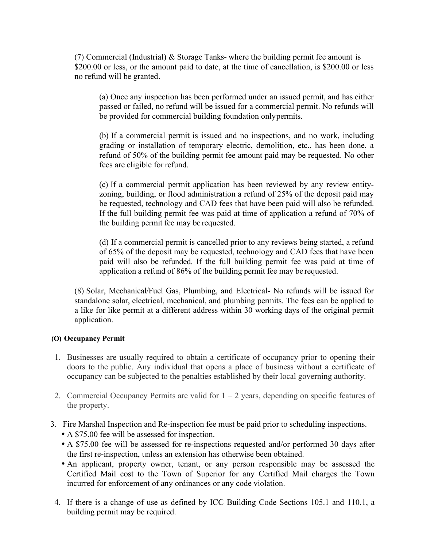(7) Commercial (Industrial) & Storage Tanks- where the building permit fee amount is \$200.00 or less, or the amount paid to date, at the time of cancellation, is \$200.00 or less no refund will be granted.

(a) Once any inspection has been performed under an issued permit, and has either passed or failed, no refund will be issued for a commercial permit. No refunds will be provided for commercial building foundation only permits.

(b) If a commercial permit is issued and no inspections, and no work, including grading or installation of temporary electric, demolition, etc., has been done, a refund of 50% of the building permit fee amount paid may be requested. No other fees are eligible for refund.

(c) If a commercial permit application has been reviewed by any review entityzoning, building, or flood administration a refund of 25% of the deposit paid may be requested, technology and CAD fees that have been paid will also be refunded. If the full building permit fee was paid at time of application a refund of 70% of the building permit fee may be requested.

(d) If a commercial permit is cancelled prior to any reviews being started, a refund of 65% of the deposit may be requested, technology and CAD fees that have been paid will also be refunded. If the full building permit fee was paid at time of application a refund of 86% of the building permit fee may be requested.

(8) Solar, Mechanical/Fuel Gas, Plumbing, and Electrical- No refunds will be issued for standalone solar, electrical, mechanical, and plumbing permits. The fees can be applied to a like for like permit at a different address within 30 working days of the original permit application.

#### **(O) Occupancy Permit**

- 1. Businesses are usually required to obtain a certificate of occupancy prior to opening their doors to the public. Any individual that opens a place of business without a certificate of occupancy can be subjected to the penalties established by their local governing authority.
- 2. Commercial Occupancy Permits are valid for  $1 2$  years, depending on specific features of the property.
- 3. Fire Marshal Inspection and Re-inspection fee must be paid prior to scheduling inspections.
	- A \$75.00 fee will be assessed for inspection.
	- A \$75.00 fee will be assessed for re-inspections requested and/or performed 30 days after the first re-inspection, unless an extension has otherwise been obtained.
	- An applicant, property owner, tenant, or any person responsible may be assessed the Certified Mail cost to the Town of Superior for any Certified Mail charges the Town incurred for enforcement of any ordinances or any code violation.
- 4. If there is a change of use as defined by ICC Building Code Sections 105.1 and 110.1, a building permit may be required.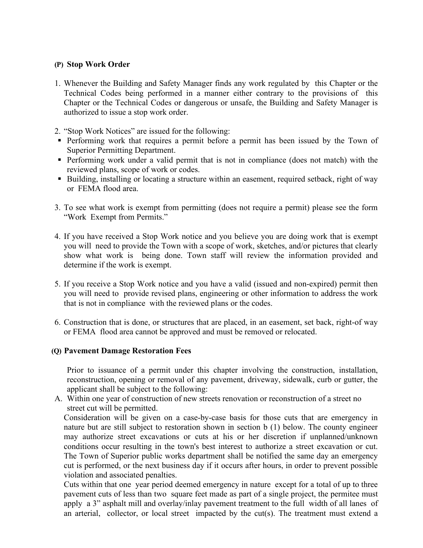#### **(P) Stop Work Order**

- 1. Whenever the Building and Safety Manager finds any work regulated by this Chapter or the Technical Codes being performed in a manner either contrary to the provisions of this Chapter or the Technical Codes or dangerous or unsafe, the Building and Safety Manager is authorized to issue a stop work order.
- 2. "Stop Work Notices" are issued for the following:
- Performing work that requires a permit before a permit has been issued by the Town of Superior Permitting Department.
- Performing work under a valid permit that is not in compliance (does not match) with the reviewed plans, scope of work or codes.
- Building, installing or locating a structure within an easement, required setback, right of way or FEMA flood area.
- 3. To see what work is exempt from permitting (does not require a permit) please see the form "Work Exempt from Permits."
- 4. If you have received a Stop Work notice and you believe you are doing work that is exempt you will need to provide the Town with a scope of work, sketches, and/or pictures that clearly show what work is being done. Town staff will review the information provided and determine if the work is exempt.
- 5. If you receive a Stop Work notice and you have a valid (issued and non-expired) permit then you will need to provide revised plans, engineering or other information to address the work that is not in compliance with the reviewed plans or the codes.
- 6. Construction that is done, or structures that are placed, in an easement, set back, right-of way or FEMA flood area cannot be approved and must be removed or relocated.

#### **(Q) Pavement Damage Restoration Fees**

Prior to issuance of a permit under this chapter involving the construction, installation, reconstruction, opening or removal of any pavement, driveway, sidewalk, curb or gutter, the applicant shall be subject to the following:

A. Within one year of construction of new streets renovation or reconstruction of a street no street cut will be permitted.

Consideration will be given on a case-by-case basis for those cuts that are emergency in nature but are still subject to restoration shown in section b (1) below. The county engineer may authorize street excavations or cuts at his or her discretion if unplanned/unknown conditions occur resulting in the town's best interest to authorize a street excavation or cut. The Town of Superior public works department shall be notified the same day an emergency cut is performed, or the next business day if it occurs after hours, in order to prevent possible violation and associated penalties.

Cuts within that one year period deemed emergency in nature except for a total of up to three pavement cuts of less than two square feet made as part of a single project, the permitee must apply a 3" asphalt mill and overlay/inlay pavement treatment to the full width of all lanes of an arterial, collector, or local street impacted by the cut(s). The treatment must extend a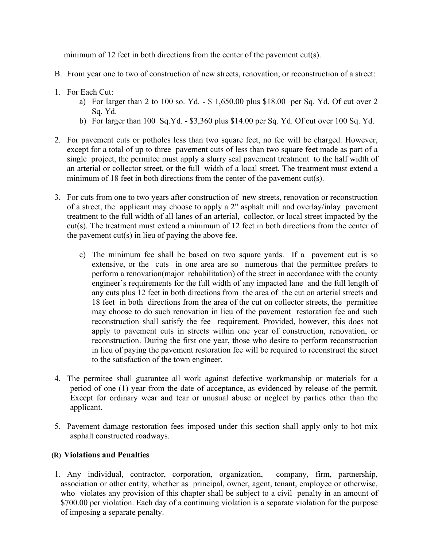minimum of 12 feet in both directions from the center of the pavement cut(s).

- B. From year one to two of construction of new streets, renovation, or reconstruction of a street:
- 1. For Each Cut:
	- a) For larger than 2 to 100 so. Yd. \$ 1,650.00 plus \$18.00 per Sq. Yd. Of cut over 2 Sq. Yd.
	- b) For larger than 100 Sq.Yd. \$3,360 plus \$14.00 per Sq. Yd. Of cut over 100 Sq. Yd.
- 2. For pavement cuts or potholes less than two square feet, no fee will be charged. However, except for a total of up to three pavement cuts of less than two square feet made as part of a single project, the permitee must apply a slurry seal pavement treatment to the half width of an arterial or collector street, or the full width of a local street. The treatment must extend a minimum of 18 feet in both directions from the center of the pavement cut(s).
- 3. For cuts from one to two years after construction of new streets, renovation or reconstruction of a street, the applicant may choose to apply a 2" asphalt mill and overlay/inlay pavement treatment to the full width of all lanes of an arterial, collector, or local street impacted by the cut(s). The treatment must extend a minimum of 12 feet in both directions from the center of the pavement cut(s) in lieu of paying the above fee.
	- c) The minimum fee shall be based on two square yards. If a pavement cut is so extensive, or the cuts in one area are so numerous that the permittee prefers to perform a renovation(major rehabilitation) of the street in accordance with the county engineer's requirements for the full width of any impacted lane and the full length of any cuts plus 12 feet in both directions from the area of the cut on arterial streets and 18 feet in both directions from the area of the cut on collector streets, the permittee may choose to do such renovation in lieu of the pavement restoration fee and such reconstruction shall satisfy the fee requirement. Provided, however, this does not apply to pavement cuts in streets within one year of construction, renovation, or reconstruction. During the first one year, those who desire to perform reconstruction in lieu of paying the pavement restoration fee will be required to reconstruct the street to the satisfaction of the town engineer.
- 4. The permitee shall guarantee all work against defective workmanship or materials for a period of one (1) year from the date of acceptance, as evidenced by release of the permit. Except for ordinary wear and tear or unusual abuse or neglect by parties other than the applicant.
- 5. Pavement damage restoration fees imposed under this section shall apply only to hot mix asphalt constructed roadways.

#### **(R) Violations and Penalties**

1. Any individual, contractor, corporation, organization, company, firm, partnership, association or other entity, whether as principal, owner, agent, tenant, employee or otherwise, who violates any provision of this chapter shall be subject to a civil penalty in an amount of \$700.00 per violation. Each day of a continuing violation is a separate violation for the purpose of imposing a separate penalty.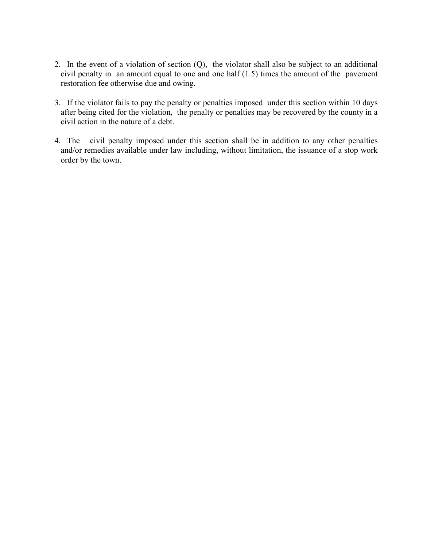- 2. In the event of a violation of section (Q), the violator shall also be subject to an additional civil penalty in an amount equal to one and one half (1.5) times the amount of the pavement restoration fee otherwise due and owing.
- 3. If the violator fails to pay the penalty or penalties imposed under this section within 10 days after being cited for the violation, the penalty or penalties may be recovered by the county in a civil action in the nature of a debt.
- 4. The civil penalty imposed under this section shall be in addition to any other penalties and/or remedies available under law including, without limitation, the issuance of a stop work order by the town.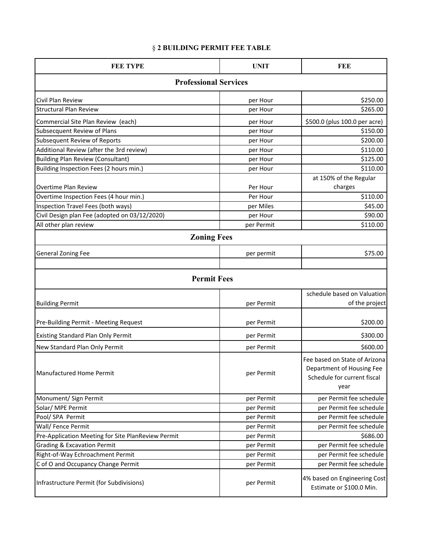## § **2 BUILDING PERMIT FEE TABLE**

| <b>FEE TYPE</b>                                    | <b>UNIT</b> | FEE                                                                                               |  |  |  |
|----------------------------------------------------|-------------|---------------------------------------------------------------------------------------------------|--|--|--|
| <b>Professional Services</b>                       |             |                                                                                                   |  |  |  |
| Civil Plan Review                                  | per Hour    | \$250.00                                                                                          |  |  |  |
| <b>Structural Plan Review</b>                      | per Hour    | \$265.00                                                                                          |  |  |  |
| Commercial Site Plan Review (each)                 | per Hour    | \$500.0 (plus 100.0 per acre)                                                                     |  |  |  |
| <b>Subsecquent Review of Plans</b>                 | per Hour    | \$150.00                                                                                          |  |  |  |
| <b>Subsequent Review of Reports</b>                | per Hour    | \$200.00                                                                                          |  |  |  |
| Additional Review (after the 3rd review)           | per Hour    | \$110.00                                                                                          |  |  |  |
| <b>Building Plan Review (Consultant)</b>           | per Hour    | \$125.00                                                                                          |  |  |  |
| Building Inspection Fees (2 hours min.)            | per Hour    | \$110.00                                                                                          |  |  |  |
| Overtime Plan Review                               | Per Hour    | at 150% of the Regular<br>charges                                                                 |  |  |  |
| Overtime Inspection Fees (4 hour min.)             | Per Hour    | \$110.00                                                                                          |  |  |  |
| Inspection Travel Fees (both ways)                 | per Miles   | \$45.00                                                                                           |  |  |  |
| Civil Design plan Fee (adopted on 03/12/2020)      | per Hour    | \$90.00                                                                                           |  |  |  |
| All other plan review                              | per Permit  | \$110.00                                                                                          |  |  |  |
| <b>Zoning Fees</b>                                 |             |                                                                                                   |  |  |  |
| <b>General Zoning Fee</b>                          | per permit  | \$75.00                                                                                           |  |  |  |
| <b>Permit Fees</b>                                 |             |                                                                                                   |  |  |  |
|                                                    |             | schedule based on Valuation                                                                       |  |  |  |
| <b>Building Permit</b>                             | per Permit  | of the project                                                                                    |  |  |  |
| Pre-Building Permit - Meeting Request              | per Permit  | \$200.00                                                                                          |  |  |  |
| <b>Existing Standard Plan Only Permit</b>          | per Permit  | \$300.00                                                                                          |  |  |  |
| New Standard Plan Only Permit                      | per Permit  | \$600.00                                                                                          |  |  |  |
| Manufactured Home Permit                           | per Permit  | Fee based on State of Arizona<br>Department of Housing Fee<br>Schedule for current fiscal<br>year |  |  |  |
| Monument/ Sign Permit                              | per Permit  | per Permit fee schedule                                                                           |  |  |  |
| Solar/ MPE Permit                                  | per Permit  | per Permit fee schedule                                                                           |  |  |  |
| Pool/ SPA Permit                                   | per Permit  | per Permit fee schedule                                                                           |  |  |  |
| Wall/ Fence Permit                                 | per Permit  | per Permit fee schedule                                                                           |  |  |  |
| Pre-Application Meeting for Site PlanReview Permit | per Permit  | \$686.00                                                                                          |  |  |  |
| <b>Grading &amp; Excavation Permit</b>             | per Permit  | per Permit fee schedule                                                                           |  |  |  |
| Right-of-Way Echroachment Permit                   | per Permit  | per Permit fee schedule                                                                           |  |  |  |
| C of O and Occupancy Change Permit                 | per Permit  | per Permit fee schedule                                                                           |  |  |  |
| Infrastructure Permit (for Subdivisions)           | per Permit  | 4% based on Engineering Cost<br>Estimate or \$100.0 Min.                                          |  |  |  |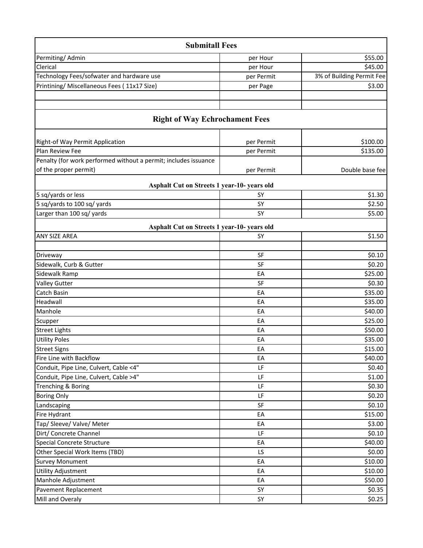| <b>Submitall Fees</b>                                           |            |                           |
|-----------------------------------------------------------------|------------|---------------------------|
| Permiting/Admin                                                 | per Hour   | \$55.00                   |
| Clerical                                                        | per Hour   | \$45.00                   |
| Technology Fees/sofwater and hardware use                       | per Permit | 3% of Building Permit Fee |
| Printining/ Miscellaneous Fees (11x17 Size)                     | per Page   | \$3.00                    |
|                                                                 |            |                           |
| <b>Right of Way Echrochament Fees</b>                           |            |                           |
| Right-of Way Permit Application                                 | per Permit | \$100.00                  |
| Plan Review Fee                                                 | per Permit | \$135.00                  |
| Penalty (for work performed without a permit; includes issuance |            |                           |
| of the proper permit)                                           | per Permit | Double base fee           |
| Asphalt Cut on Streets 1 year-10- years old                     |            |                           |
| 5 sq/yards or less                                              | SY         | \$1.30                    |
| 5 sq/yards to 100 sq/ yards                                     | SY         | \$2.50                    |
| Larger than 100 sq/ yards                                       | SY         | \$5.00                    |
| Asphalt Cut on Streets 1 year-10- years old                     |            |                           |
| ANY SIZE AREA                                                   | SY         | \$1.50                    |
|                                                                 |            |                           |
| Driveway                                                        | <b>SF</b>  | \$0.10                    |
| Sidewalk, Curb & Gutter                                         | <b>SF</b>  | \$0.20                    |
| Sidewalk Ramp                                                   | EA         | \$25.00                   |
| <b>Valley Gutter</b>                                            | SF         | \$0.30                    |
| Catch Basin                                                     | EA         | \$35.00                   |
| Headwall                                                        | EA         | \$35.00                   |
| Manhole                                                         | EA         | \$40.00                   |
| Scupper                                                         | EA         | \$25.00                   |
| <b>Street Lights</b><br><b>Utility Poles</b>                    | EA<br>EA   | \$50.00<br>\$35.00        |
| <b>Street Signs</b>                                             | EA         | \$15.00                   |
| Fire Line with Backflow                                         | EA         | \$40.00                   |
| Conduit, Pipe Line, Culvert, Cable <4"                          | LF         | \$0.40                    |
| Conduit, Pipe Line, Culvert, Cable >4"                          | LF         | \$1.00                    |
| Trenching & Boring                                              | LF         | \$0.30                    |
| <b>Boring Only</b>                                              | LF         | \$0.20                    |
| Landscaping                                                     | SF         | \$0.10                    |
| Fire Hydrant                                                    | EA         | \$15.00                   |
| Tap/ Sleeve/ Valve/ Meter                                       | EA         | \$3.00                    |
| Dirt/ Concrete Channel                                          | LF         | \$0.10                    |
| <b>Special Concrete Structure</b>                               | EA         | \$40.00                   |
| Other Special Work Items (TBD)                                  | LS         | \$0.00                    |
| <b>Survey Monument</b>                                          | EA         | \$10.00                   |
| <b>Utility Adjustment</b>                                       | EA         | \$10.00                   |
| Manhole Adjustment                                              | EA         | \$50.00                   |
| <b>Pavement Replacement</b>                                     | SY         | \$0.35                    |
| Mill and Overaly                                                | SY         | \$0.25                    |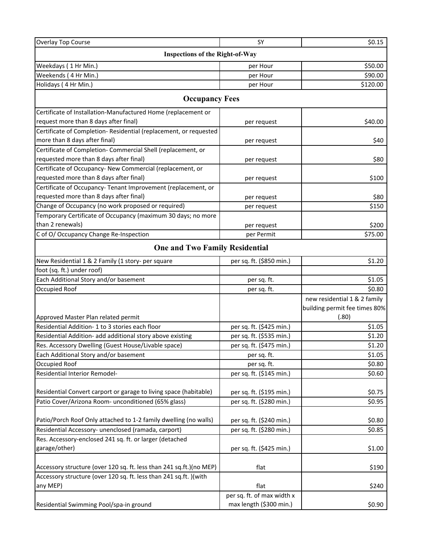| <b>Overlay Top Course</b>                                           | <b>SY</b>                  | \$0.15                        |  |  |  |
|---------------------------------------------------------------------|----------------------------|-------------------------------|--|--|--|
| <b>Inspections of the Right-of-Way</b>                              |                            |                               |  |  |  |
| Weekdays (1Hr Min.)                                                 | per Hour                   | \$50.00                       |  |  |  |
| Weekends (4 Hr Min.)                                                | per Hour                   | \$90.00                       |  |  |  |
| Holidays (4 Hr Min.)                                                | per Hour                   | \$120.00                      |  |  |  |
| <b>Occupancy Fees</b>                                               |                            |                               |  |  |  |
| Certificate of Installation-Manufactured Home (replacement or       |                            |                               |  |  |  |
| request more than 8 days after final)                               | per request                | \$40.00                       |  |  |  |
| Certificate of Completion-Residential (replacement, or requested    |                            |                               |  |  |  |
| more than 8 days after final)                                       | per request                | \$40                          |  |  |  |
| Certificate of Completion- Commercial Shell (replacement, or        |                            |                               |  |  |  |
| requested more than 8 days after final)                             | per request                | \$80                          |  |  |  |
| Certificate of Occupancy- New Commercial (replacement, or           |                            |                               |  |  |  |
| requested more than 8 days after final)                             | per request                | \$100                         |  |  |  |
| Certificate of Occupancy-Tenant Improvement (replacement, or        |                            |                               |  |  |  |
| requested more than 8 days after final)                             | per request                | \$80                          |  |  |  |
| Change of Occupancy (no work proposed or required)                  | per request                | \$150                         |  |  |  |
| Temporary Certificate of Occupancy (maximum 30 days; no more        |                            |                               |  |  |  |
| than 2 renewals)                                                    | per request                | \$200                         |  |  |  |
| C of O/ Occupancy Change Re-Inspection                              | per Permit                 | \$75.00                       |  |  |  |
| <b>One and Two Family Residential</b>                               |                            |                               |  |  |  |
| New Residential 1 & 2 Family (1 story- per square                   | per sq. ft. (\$850 min.)   | \$1.20                        |  |  |  |
| foot (sq. ft.) under roof)                                          |                            |                               |  |  |  |
| Each Additional Story and/or basement                               | per sq. ft.                | \$1.05                        |  |  |  |
| Occupied Roof                                                       | per sq. ft.                | \$0.80                        |  |  |  |
|                                                                     |                            | new residential 1 & 2 family  |  |  |  |
|                                                                     |                            | building permit fee times 80% |  |  |  |
| Approved Master Plan related permit                                 |                            | (.80)                         |  |  |  |
| Residential Addition- 1 to 3 stories each floor                     | per sq. ft. (\$425 min.)   | \$1.05                        |  |  |  |
| Residential Addition- add additional story above existing           | per sq. ft. (\$535 min.)   | \$1.20                        |  |  |  |
| Res. Accessory Dwelling (Guest House/Livable space)                 | per sq. ft. (\$475 min.)   | \$1.20                        |  |  |  |
| Each Additional Story and/or basement                               | per sq. ft.                | \$1.05                        |  |  |  |
| Occupied Roof                                                       | per sq. ft.                | \$0.80                        |  |  |  |
| Residential Interior Remodel-                                       | per sq. ft. (\$145 min.)   | \$0.60                        |  |  |  |
| Residential Convert carport or garage to living space (habitable)   | per sq. ft. (\$195 min.)   | \$0.75                        |  |  |  |
| Patio Cover/Arizona Room- unconditioned (65% glass)                 | per sq. ft. (\$280 min.)   | \$0.95                        |  |  |  |
|                                                                     |                            |                               |  |  |  |
| Patio/Porch Roof Only attached to 1-2 family dwelling (no walls)    | per sq. ft. (\$240 min.)   | \$0.80                        |  |  |  |
| Residential Accessory- unenclosed (ramada, carport)                 | per sq. ft. (\$280 min.)   | \$0.85                        |  |  |  |
| Res. Accessory-enclosed 241 sq. ft. or larger (detached             |                            |                               |  |  |  |
| garage/other)                                                       | per sq. ft. (\$425 min.)   | \$1.00                        |  |  |  |
| Accessory structure (over 120 sq. ft. less than 241 sq.ft.)(no MEP) | flat                       | \$190                         |  |  |  |
| Accessory structure (over 120 sq. ft. less than 241 sq.ft. ) (with  |                            |                               |  |  |  |
| any MEP)                                                            | flat                       | \$240                         |  |  |  |
|                                                                     | per sq. ft. of max width x |                               |  |  |  |
| Residential Swimming Pool/spa-in ground                             | max length (\$300 min.)    | \$0.90                        |  |  |  |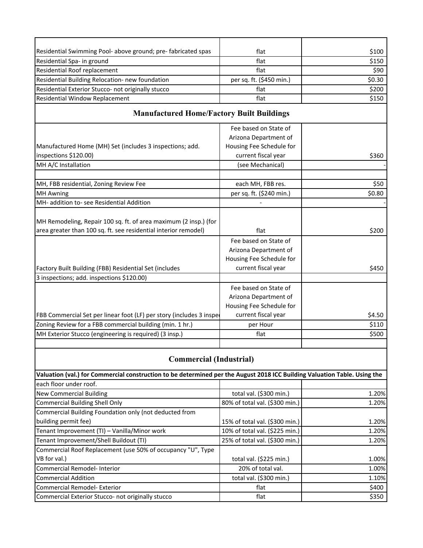| Residential Swimming Pool- above ground; pre-fabricated spas                                                              | flat                           | \$100  |
|---------------------------------------------------------------------------------------------------------------------------|--------------------------------|--------|
| Residential Spa- in ground                                                                                                | flat                           | \$150  |
| Residential Roof replacement                                                                                              | flat                           | \$90   |
| Residential Building Relocation- new foundation                                                                           | per sq. ft. (\$450 min.)       | \$0.30 |
| Residential Exterior Stucco- not originally stucco                                                                        | flat                           | \$200  |
| Residential Window Replacement                                                                                            | flat                           | \$150  |
| <b>Manufactured Home/Factory Built Buildings</b>                                                                          |                                |        |
|                                                                                                                           |                                |        |
|                                                                                                                           | Fee based on State of          |        |
|                                                                                                                           | Arizona Department of          |        |
| Manufactured Home (MH) Set (includes 3 inspections; add.                                                                  | Housing Fee Schedule for       |        |
| inspections \$120.00)                                                                                                     | current fiscal year            | \$360  |
| MH A/C Installation                                                                                                       | (see Mechanical)               |        |
| MH, FBB residential, Zoning Review Fee                                                                                    | each MH, FBB res.              | \$50   |
| <b>MH Awning</b>                                                                                                          | per sq. ft. (\$240 min.)       | \$0.80 |
| MH- addition to-see Residential Addition                                                                                  |                                |        |
|                                                                                                                           |                                |        |
| MH Remodeling, Repair 100 sq. ft. of area maximum (2 insp.) (for                                                          |                                |        |
| area greater than 100 sq. ft. see residential interior remodel)                                                           | flat                           | \$200  |
|                                                                                                                           | Fee based on State of          |        |
|                                                                                                                           | Arizona Department of          |        |
|                                                                                                                           | Housing Fee Schedule for       |        |
| Factory Built Building (FBB) Residential Set (includes                                                                    | current fiscal year            | \$450  |
| 3 inspections; add. inspections \$120.00)                                                                                 |                                |        |
|                                                                                                                           | Fee based on State of          |        |
|                                                                                                                           | Arizona Department of          |        |
|                                                                                                                           | Housing Fee Schedule for       |        |
| FBB Commercial Set per linear foot (LF) per story (includes 3 insper                                                      | current fiscal year            | \$4.50 |
| Zoning Review for a FBB commercial building (min. 1 hr.)                                                                  | per Hour                       | \$110  |
| MH Exterior Stucco (engineering is required) (3 insp.)                                                                    | flat                           | \$500  |
|                                                                                                                           |                                |        |
| <b>Commercial (Industrial)</b>                                                                                            |                                |        |
| Valuation (val.) for Commercial construction to be determined per the August 2018 ICC Building Valuation Table. Using the |                                |        |
| each floor under roof.                                                                                                    |                                |        |
| <b>New Commercial Building</b>                                                                                            | total val. (\$300 min.)        | 1.20%  |
| <b>Commercial Building Shell Only</b>                                                                                     | 80% of total val. (\$300 min.) | 1.20%  |
| Commercial Building Foundation only (not deducted from                                                                    |                                |        |
| building permit fee)                                                                                                      | 15% of total val. (\$300 min.) | 1.20%  |
| Tenant Improvement (TI) - Vanilla/Minor work                                                                              | 10% of total val. (\$225 min.) | 1.20%  |
| Tenant Improvement/Shell Buildout (TI)                                                                                    | 25% of total val. (\$300 min.) | 1.20%  |
| Commercial Roof Replacement (use 50% of occupancy "U", Type                                                               |                                |        |
| VB for val.)                                                                                                              | total val. (\$225 min.)        | 1.00%  |
| Commercial Remodel- Interior                                                                                              | 20% of total val.              | 1.00%  |
| <b>Commercial Addition</b>                                                                                                | total val. (\$300 min.)        | 1.10%  |
| Commercial Remodel- Exterior                                                                                              | flat                           | \$400  |
| Commercial Exterior Stucco- not originally stucco                                                                         | flat                           | \$350  |
|                                                                                                                           |                                |        |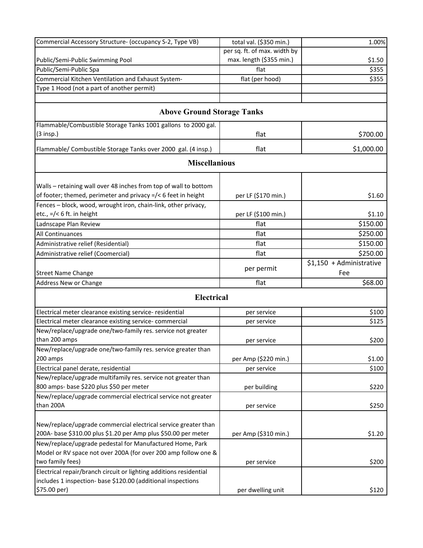| Commercial Accessory Structure- (occupancy S-2, Type VB)           | total val. (\$350 min.)      | 1.00%                           |
|--------------------------------------------------------------------|------------------------------|---------------------------------|
|                                                                    | per sq. ft. of max. width by |                                 |
| Public/Semi-Public Swimming Pool                                   | max. length (\$355 min.)     | \$1.50                          |
| Public/Semi-Public Spa                                             | flat                         | \$355                           |
| Commercial Kitchen Ventilation and Exhaust System-                 | flat (per hood)              | \$355                           |
| Type 1 Hood (not a part of another permit)                         |                              |                                 |
|                                                                    |                              |                                 |
| <b>Above Ground Storage Tanks</b>                                  |                              |                                 |
| Flammable/Combustible Storage Tanks 1001 gallons to 2000 gal.      |                              |                                 |
| $(3$ insp.)                                                        | flat                         | \$700.00                        |
| Flammable/ Combustible Storage Tanks over 2000 gal. (4 insp.)      | flat                         | \$1,000.00                      |
| <b>Miscellanious</b>                                               |                              |                                 |
|                                                                    |                              |                                 |
| Walls - retaining wall over 48 inches from top of wall to bottom   |                              |                                 |
| of footer; themed, perimeter and privacy =/< 6 feet in height      | per LF (\$170 min.)          | \$1.60                          |
| Fences - block, wood, wrought iron, chain-link, other privacy,     |                              |                                 |
| etc., =/< 6 ft. in height                                          | per LF (\$100 min.)          | \$1.10                          |
| Ladnscape Plan Review                                              | flat                         | \$150.00                        |
| All Continuances                                                   | flat                         | \$250.00                        |
| Administrative relief (Residential)                                | flat                         | \$150.00                        |
| Administrative relief (Coomercial)                                 | flat                         | \$250.00                        |
| <b>Street Name Change</b>                                          | per permit                   | \$1,150 + Administrative<br>Fee |
| Address New or Change                                              | flat                         | \$68.00                         |
| <b>Electrical</b>                                                  |                              |                                 |
| Electrical meter clearance existing service- residential           | per service                  | \$100                           |
| Electrical meter clearance existing service-commercial             | per service                  | \$125                           |
| New/replace/upgrade one/two-family res. service not greater        |                              |                                 |
| than 200 amps                                                      | per service                  | \$200                           |
| New/replace/upgrade one/two-family res. service greater than       |                              |                                 |
| 200 amps                                                           | per Amp (\$220 min.)         | \$1.00                          |
| Electrical panel derate, residential                               | per service                  | \$100                           |
| New/replace/upgrade multifamily res. service not greater than      |                              |                                 |
| 800 amps- base \$220 plus \$50 per meter                           | per building                 | \$220                           |
| New/replace/upgrade commercial electrical service not greater      |                              |                                 |
| than 200A                                                          | per service                  | \$250                           |
|                                                                    |                              |                                 |
| New/replace/upgrade commercial electrical service greater than     |                              |                                 |
| 200A- base \$310.00 plus \$1.20 per Amp plus \$50.00 per meter     | per Amp (\$310 min.)         | \$1.20                          |
| New/replace/upgrade pedestal for Manufactured Home, Park           |                              |                                 |
| Model or RV space not over 200A (for over 200 amp follow one &     |                              |                                 |
| two family fees)                                                   | per service                  | \$200                           |
| Electrical repair/branch circuit or lighting additions residential |                              |                                 |
| includes 1 inspection- base \$120.00 (additional inspections       |                              |                                 |
| \$75.00 per)                                                       | per dwelling unit            | \$120                           |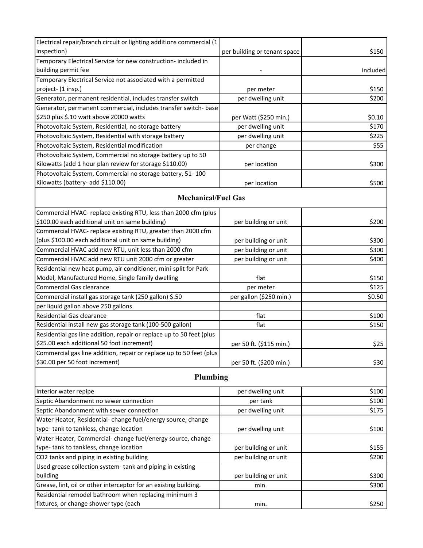| Electrical repair/branch circuit or lighting additions commercial (1                  |                              |          |
|---------------------------------------------------------------------------------------|------------------------------|----------|
| inspection)                                                                           | per building or tenant space | \$150    |
| Temporary Electrical Service for new construction- included in<br>building permit fee |                              | included |
| Temporary Electrical Service not associated with a permitted                          |                              |          |
| project- (1 insp.)                                                                    | per meter                    | \$150    |
| Generator, permanent residential, includes transfer switch                            | per dwelling unit            | \$200    |
| Generator, permanent commercial, includes transfer switch- base                       |                              |          |
| \$250 plus \$.10 watt above 20000 watts                                               | per Watt (\$250 min.)        | \$0.10   |
| Photovoltaic System, Residential, no storage battery                                  | per dwelling unit            | \$170    |
| Photovoltaic System, Residential with storage battery                                 | per dwelling unit            | \$225    |
| Photovoltaic System, Residential modification                                         | per change                   | \$55     |
| Photovoltaic System, Commercial no storage battery up to 50                           |                              |          |
| Kilowatts (add 1 hour plan review for storage \$110.00)                               | per location                 | \$300    |
| Photovoltaic System, Commercial no storage battery, 51-100                            |                              |          |
| Kilowatts (battery- add \$110.00)                                                     | per location                 | \$500    |
| <b>Mechanical/Fuel Gas</b>                                                            |                              |          |
|                                                                                       |                              |          |
| Commercial HVAC- replace existing RTU, less than 2000 cfm (plus                       |                              |          |
| \$100.00 each additional unit on same building)                                       | per building or unit         | \$200    |
| Commercial HVAC- replace existing RTU, greater than 2000 cfm                          |                              |          |
| (plus \$100.00 each additional unit on same building)                                 | per building or unit         | \$300    |
| Commercial HVAC add new RTU, unit less than 2000 cfm                                  | per building or unit         | \$300    |
| Commercial HVAC add new RTU unit 2000 cfm or greater                                  | per building or unit         | \$400    |
| Residential new heat pump, air conditioner, mini-split for Park                       |                              |          |
| Model, Manufactured Home, Single family dwelling                                      | flat                         | \$150    |
| <b>Commercial Gas clearance</b>                                                       | per meter                    | \$125    |
| Commercial install gas storage tank (250 gallon) \$.50                                | per gallon (\$250 min.)      | \$0.50   |
| per liquid gallon above 250 gallons                                                   |                              |          |
| <b>Residential Gas clearance</b>                                                      | flat                         | \$100    |
| Residential install new gas storage tank (100-500 gallon)                             | flat                         | \$150    |
| Residential gas line addition, repair or replace up to 50 feet (plus                  |                              |          |
| \$25.00 each additional 50 foot increment)                                            | per 50 ft. (\$115 min.)      | \$25     |
| Commercial gas line addition, repair or replace up to 50 feet (plus                   |                              |          |
| \$30.00 per 50 foot increment)                                                        | per 50 ft. (\$200 min.)      | \$30     |
| Plumbing                                                                              |                              |          |
| Interior water repipe                                                                 | per dwelling unit            | \$100    |
| Septic Abandonment no sewer connection                                                | per tank                     | \$100    |
| Septic Abandonment with sewer connection                                              | per dwelling unit            | \$175    |
| Water Heater, Residential-change fuel/energy source, change                           |                              |          |
| type- tank to tankless, change location                                               | per dwelling unit            | \$100    |
| Water Heater, Commercial-change fuel/energy source, change                            |                              |          |
| type-tank to tankless, change location                                                | per building or unit         | \$155    |
| CO2 tanks and piping in existing building                                             | per building or unit         | \$200    |
| Used grease collection system-tank and piping in existing                             |                              |          |
| building                                                                              | per building or unit         | \$300    |
| Grease, lint, oil or other interceptor for an existing building.                      | min.                         | \$300    |
| Residential remodel bathroom when replacing minimum 3                                 |                              |          |
| fixtures, or change shower type (each                                                 | min.                         | \$250    |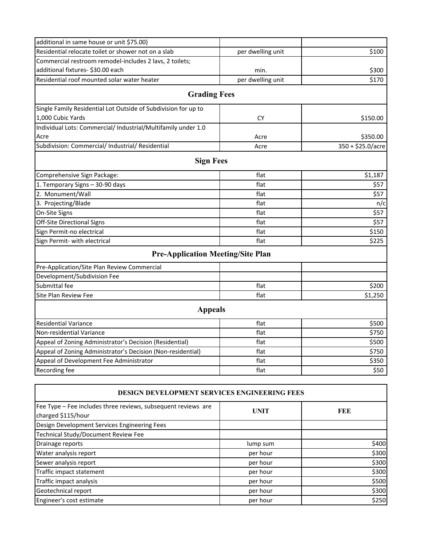| additional in same house or unit \$75.00)                      |                   |                   |
|----------------------------------------------------------------|-------------------|-------------------|
| Residential relocate toilet or shower not on a slab            | per dwelling unit | \$100             |
| Commercial restroom remodel-includes 2 lavs, 2 toilets;        |                   |                   |
| additional fixtures- \$30.00 each                              | min.              | \$300             |
| Residential roof mounted solar water heater                    | per dwelling unit | \$170             |
| <b>Grading Fees</b>                                            |                   |                   |
| Single Family Residential Lot Outside of Subdivision for up to |                   |                   |
| 1,000 Cubic Yards                                              | <b>CY</b>         | \$150.00          |
| Individual Lots: Commercial/ Industrial/Multifamily under 1.0  |                   |                   |
| Acre                                                           | Acre              | \$350.00          |
| Subdivision: Commercial/ Industrial/ Residential               | Acre              | 350 + \$25.0/acre |
| <b>Sign Fees</b>                                               |                   |                   |
| Comprehensive Sign Package:                                    | flat              | \$1,187           |
| 1. Temporary Signs - 30-90 days                                | flat              | \$57              |
| 2. Monument/Wall                                               | flat              | \$57              |
| 3. Projecting/Blade                                            | flat              | n/c               |
| On-Site Signs                                                  | flat              | \$57              |
| Off-Site Directional Signs                                     | flat              | \$57              |
| Sign Permit-no electrical                                      | flat              | \$150             |
| Sign Permit- with electrical                                   | flat              | \$225             |
| <b>Pre-Application Meeting/Site Plan</b>                       |                   |                   |
| Pre-Application/Site Plan Review Commercial                    |                   |                   |
| Development/Subdivision Fee                                    |                   |                   |
| Submittal fee                                                  | flat              | \$200             |
| <b>Site Plan Review Fee</b>                                    | flat              | \$1,250           |
| <b>Appeals</b>                                                 |                   |                   |
| <b>Residential Variance</b>                                    | flat              | \$500             |
| Non-residential Variance                                       | flat              | \$750             |
| Appeal of Zoning Administrator's Decision (Residential)        | flat              | \$500             |
| Appeal of Zoning Administrator's Decision (Non-residential)    | flat              | \$750             |
| Appeal of Development Fee Administrator                        | flat              | \$350             |
| Recording fee                                                  | flat              | \$50              |

| <b>DESIGN DEVELOPMENT SERVICES ENGINEERING FEES</b>                                 |             |       |  |  |
|-------------------------------------------------------------------------------------|-------------|-------|--|--|
| Fee Type - Fee includes three reviews, subsequent reviews are<br>charged \$115/hour | <b>UNIT</b> | FEE   |  |  |
| Design Development Services Engineering Fees                                        |             |       |  |  |
| Technical Study/Document Review Fee                                                 |             |       |  |  |
| Drainage reports                                                                    | lump sum    | \$400 |  |  |
| Water analysis report                                                               | per hour    | \$300 |  |  |
| Sewer analysis report                                                               | per hour    | \$300 |  |  |
| Traffic impact statement                                                            | per hour    | \$300 |  |  |
| Traffic impact analysis                                                             | per hour    | \$500 |  |  |
| Geotechnical report                                                                 | per hour    | \$300 |  |  |
| Engineer's cost estimate                                                            | per hour    | \$250 |  |  |